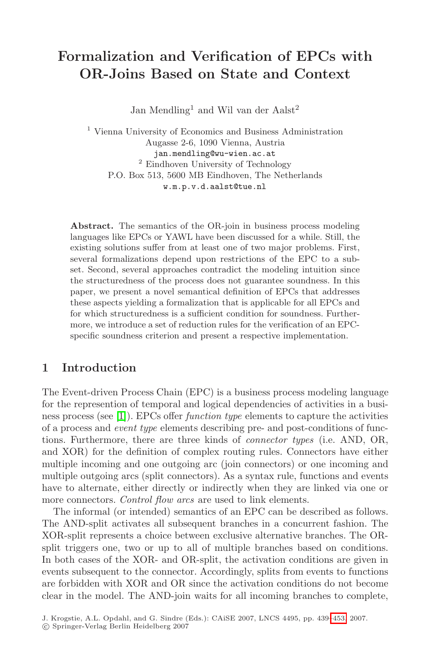# **Formalization and Verification of EPCs with OR-Joins Based on State and Context**

Jan Mendling<sup>1</sup> and Wil van der Aalst<sup>2</sup>

<sup>1</sup> Vienna University of Economics and Business Administration Augasse 2-6, 1090 Vienna, Austria jan.mendling@wu-wien.ac.at <sup>2</sup> Eindhoven University of Technology P.O. Box 513, 5600 MB Eindhoven, The Netherlands w.m.p.v.d.aalst@tue.nl

Abstract. The semantics of the OR-join in business process modeling languages like EPCs or YAWL have been discussed for a while. Still, the existing solutions suffer from at least one of two major problems. First, several formalizations depend upon restrictions of the EPC to a subset. Second, several approaches contradict the modeling intuition since the structuredness of the process does not guarantee soundness. In this paper, we present a novel semantical definition of EPCs that addresses these aspects yielding a formalization that is applicable for all EPCs and for which structuredness is a sufficient condition for soundness. Furthermore, we introduce a set of reduction rules for the verification of an EPCspecific soundness criterion and present a respective implementation.

## **1 Introduction**

The Event-driven Process Chain (EPC) is a business process modeling language for the represention of temporal and logical dependencies of activities in a business process (see [1]). EPCs offer function type elements to capture the activities of a process and event type elements describing pre- and post-conditions of functions. Furthermore, there are three kinds of connector types (i.e. AND, OR, and XOR) for the definition of complex routing rules. Connectors have either multiple incoming and one outgoing arc (join connectors) or one incoming and multiple outgoing arcs (split connectors). As a syntax rule, functions and events have to alternate, either directly or indirectly when they are linked via one or more connectors. *Control flow arcs* are used to link elements.

The informal (or intended) semantics of an EPC can be described as follows. The AND-split activates all subsequent branc[hes i](#page-14-0)n a concurrent fashion. The XOR-split represents a choice between exclusive alternative branches. The ORsplit triggers one, two or up to all of multiple branches based on conditions. In both cases of the XOR- and OR-split, the activation conditions are given in events subsequent to the connector. Accordingly, splits from events to functions are forbidden with XOR and OR since the activation conditions do not become clear in the model. The AND-join waits for all incoming branches to complete,

J. Krogstie, A.L. Opdahl, and G. Sindre (Eds.): CAiSE 2007, LNCS 4495, pp. 439–453, 2007.

<sup>-</sup>c Springer-Verlag Berlin Heidelberg 2007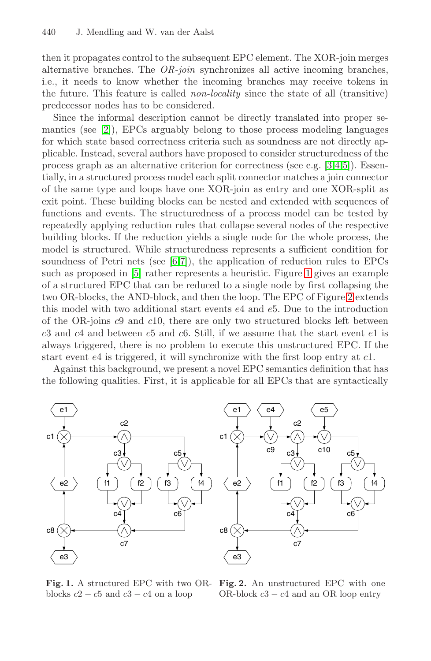#### 440 J. Mendling and W. van der Aalst

then it propagates control to the subsequent EPC element. The XOR-join merges alternative branche[s](#page-13-1). The  $OR-join$  synchroni[ze](#page-13-0)s [al](#page-13-2)l active incoming branches, i.e., it needs to know whether the incoming branches may receive tokens in the future. This feature is called non-locality since the state of all (transitive) predecessor nodes has to be considered.

Since the informal description cannot be directly translated into proper semantics (see [2]), EPCs arguably belong to those process modeling languages for which state based correctness criteria such as soundness are not directly applicable. Instead, several authors have proposed to consider structuredness of the process gr[ap](#page-13-3)[h](#page-13-4) as an alternative criterion for correctness (see e.g. [3,4,5]). Essenti[all](#page-13-2)y, in a structured process model each s[pl](#page-1-0)it connector matches a join connector of the same type and loops have one XOR-join as entry and one XOR-split as exit point. These building blocks can be nested an[d e](#page-1-1)xtended with sequences of functions and events. The structuredness of a process model can be tested by repeatedly applying reduction rules that collapse several nodes of the respective building blocks. If the reduction yields a single node for the whole process, the model is structured. While structuredness represents a sufficient condition for soundness of Petri nets (see  $[6,7]$ ), the application of reduction rules to EPCs such as proposed in [5] rather represents a heuristic. Figure 1 gives an example of a structured EPC that can be reduced to a single node by first collapsing the two OR-blocks, the AND-block, and then the loop. The EPC of Figure 2 extends this model with two additional start events e4 and e5. Due to the introduction of the OR-joins c9 and c10, there are only two structured blocks left between  $c3$  and  $c4$  and between  $c5$  and  $c6$ . Still, if we assume that the start event  $e1$  is always triggered, there is no problem to execute this unstructured EPC. If the start event e4 is triggered, it will synchronize with the first loop entry at c1.

Against this background, we present a novel EPC semantics definition that has the following qualities. First, it is applicable for all EPCs that are syntactically

<span id="page-1-0"></span>

blocks  $c2 - c5$  and  $c3 - c4$  on a loop

<span id="page-1-1"></span>**Fig. 1.** A structured EPC with two OR-**Fig. 2.** An unstructured EPC with one OR-block  $c3 - c4$  and an OR loop entry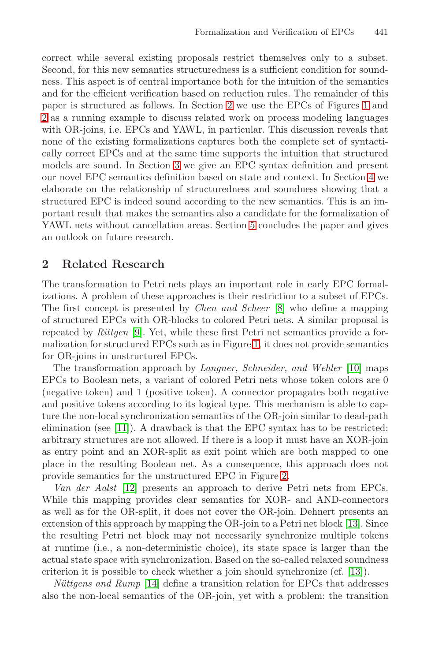correct while several existing proposals restrict themselves only to a subset. Second, for [th](#page-4-0)is new semantics structuredness is a sufficient condition for soundness. This aspect is of central importance both for the i[ntu](#page-10-0)ition of the semantics and for the efficient verification based on reduction rules. The remainder of this paper is structured as follows. In Section 2 we use the EPCs of Figures 1 and 2 as a running example to discuss related work on process modeling languages with OR-joins, i.e. EPCs an[d Y](#page-12-0)AWL, in particular. This discussion reveals that none of the existing formalizations captures both the complete set of syntactically correct EPCs and at the same time supports the intuition that structured models are sound. In Section 3 we give an EPC syntax definition and present our novel EPC semantics definition based on state and context. In Section 4 we elaborate on the relationship of structuredness and soundness showing that a structured EPC is indeed sound according to the new semantics. This is an important result that makes the sema[nt](#page-13-5)ics also a candidate for the formalization of YAWL nets without cancellation areas. Section 5 concludes the paper and gives a[n o](#page-13-6)utlook on future research.

### **2 Related Research**

The transformation to Petri nets plays an importa[nt](#page-13-7) [r](#page-13-7)ole in early EPC formalizations. A problem of these approaches is their restriction to a subset of EPCs. The first concept is presented by Chen and Scheer [8] who define a mapping of structured EPCs with OR-blocks to colored Petri nets. A similar proposal is [r](#page-13-8)epeated by Rittgen [9]. Yet, while these first Petri net semantics provide a formalization for structured EPCs such as in Figure 1, it does not provide semantics for OR-joins in unstructured EPCs.

The transformation approach by Langner, Schneider, and Wehler [10] maps EPCs to Boolean nets, a variant of [co](#page-1-1)lored Petri nets whose token colors are 0 [\(ne](#page-13-9)gative token) and 1 (positive token). A connector propagates both negative and positive tokens according to its logical type. This mechanism is able to capture the non-local synchronization semantics of the OR-join similar to dead-path elimination (see [11]). A drawback is that the EP[C sy](#page-13-10)ntax has to be restricted: arbitrary structures are not allowed. If there is a loop it must have an XOR-join as entry point and an XOR-split as exit point which are both mapped to one place in the resulting Boolean net. As a consequence, this approach does not provide semantics for the unstructured EPC in Fig[ure](#page-13-10) 2.

V[an d](#page-14-1)er Aalst [12] presents an approach to derive Petri nets from EPCs. While this mapping provides clear semantics for XOR- and AND-connectors as well as for the OR-split, it does not cover the OR-join. Dehnert presents an extension of this approach by mapping the OR-join to a Petri net block [13]. Since the resulting Petri net block may not necessarily synchronize multiple tokens at runtime (i.e., a non-deterministic choice), its state space is larger than the actual state space with synchronization. Based on the so-called relaxed soundness criterion it is possible to check whether a join should synchronize (cf. [13]).

Nüttgens and Rump  $[14]$  define a transition relation for EPCs that addresses also the non-local semantics of the OR-join, yet with a problem: the transition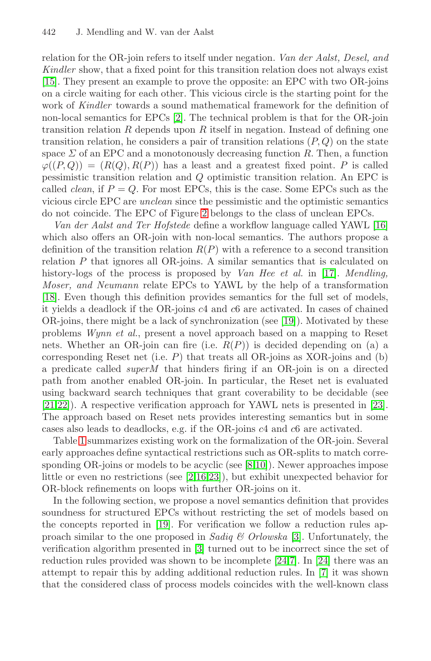#### 442 J. [Me](#page-13-11)ndling and W. van der Aalst

relation for the OR-join refers to itself under negation. Van der Aalst, Desel, and Kindler show, that a fixed point for this transition relation does not always exist [15]. They present an example to prove the opposite: an EPC with two OR-joins on a circle waiting for each other. This vicious circle is the starting point for the work of Kindler towards a sound mathematical framework for the definition of non-local semanti[cs](#page-1-1) for EPCs [2]. The technical problem is that for the OR-join transition relation R depends upon R itself in negation. [Inst](#page-14-2)ead of defining one transition relation, he considers a pair of transition relations  $(P, Q)$  on the state space  $\Sigma$  of an EPC and a monotonously decreasing function R. Then, a function  $\varphi((P,Q)) = (R(Q), R(P))$  has a least and a greatest fixed point. P is called pessimistic transition relation and Q optimis[tic](#page-14-3) transition relation. An EPC is called *clean*, if  $P = Q$ . For most EPCs, this is the case. Some EPCs such as the vicious circle EPC are unclean since the pessimistic and the optimistic semantics do not coincide. The EPC of Figure 2 belongs to the class of unclean EPCs.

Van der Aalst and Ter Hofstede d[efin](#page-14-4)e a workflow language called YAWL [16] which also offers an OR-join with non-local semantics. The authors propose a definition of the transition relation  $R(P)$  with a reference to a second transition relation P that ignores all OR-joins. A similar semantics that is calculated on history-logs of the process is proposed by Van Hee et al. in [17]. Mendling, Moser, and Neumann relate EPCs to YAWL by the help of a transformation [18]. Even though this definition provides semantics for the full set of models, it yields a deadlock if the OR-joins c4 and c6 are activa[ted.](#page-14-5) In cases of chained OR-joins, there might be a lack of synchronization (see [19]). Motivated by these problems Wynn et al., present a novel approach based on a mapping to Reset nets. Whether an OR-join can fire (i.e.  $R(P)$ ) is decided depending on (a) a corresponding Reset net (i.e.  $P$ ) that treats all OR-joins as XOR-joins and (b) a predicate called superM [th](#page-13-5)[at](#page-13-7) hinders firing if an OR-join is on a directed path from an[ot](#page-13-11)[her](#page-14-2) [en](#page-14-5)abled OR-join. In particular, the Reset net is evaluated using backward search techniques that grant coverability to be decidable (see [21,22]). A respective verification approach for YAWL nets is presented in [23]. The approach based on Reset nets provides interesting semantics but in some cases a[lso](#page-14-4) leads to deadlocks, e.g. if the OR-joins c4 and c6 are activated.

Table 1 summarizes existing work o[n th](#page-13-0)e formalization of the OR-join. Several early approache[s d](#page-13-0)efine syntactical restrictions such as OR-splits to match corresponding OR-joins or models to be [ac](#page-14-6)[yc](#page-13-4)lic (s[ee \[](#page-14-6)8,10]). Newer approaches impose little or even no restrictions (see [2,16,23]), [but](#page-13-4) exhibit unexpected behavior for OR-block refinements on loops with further OR-joins on it.

In the following section, we propose a novel semantics definition that provides soundness for structured EPCs without restricting the set of models based on the concepts reported in [19]. For verification we follow a reduction rules approach similar to the one proposed in Sadiq  $\mathcal C$  Orlowska [3]. Unfortunately, the verification algorithm presented in [3] turned out to be incorrect since the set of reduction rules provided was shown to be incomplete [24,7]. In [24] there was an attempt to repair this by adding additional reduction rules. In [7] it was shown that the considered class of process models coincides with the well-known class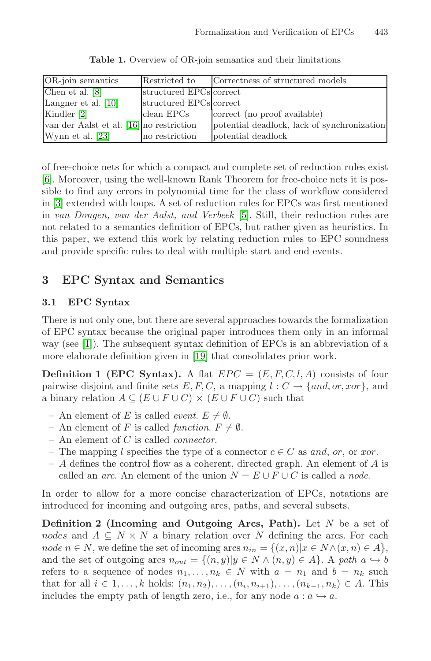| OR-join semantics                        | Restricted to           | Correctness of structured models            |
|------------------------------------------|-------------------------|---------------------------------------------|
| Chen et al. [8]                          | structured EPCs correct |                                             |
| Languer et al. $[10]$                    | structured EPCs correct |                                             |
| Kindler [2]                              | $clean$ $EPCs$          | correct (no proof available)                |
| van der Aalst et al. [16] no restriction |                         | potential deadlock, lack of synchronization |
| Wynn et al. [23]                         | no restriction          | potential deadlock                          |

**Table 1.** Overview of OR-join semantics and their limitations

<span id="page-4-0"></span>of free-choice nets for which a compact and complete set of reduction rules exist [6]. Moreover, using the well-known Rank Theorem for free-choice nets it is possible to find any errors in polynomial time for the class of workflow considered in [3] extended with loops. A set of reduction rules for EPCs was first mentioned in van Dongen, van der Aalst, and Verbeek [5]. Still, their reduction rules are not related to a semantics definition of EPCs, but rather given as heuristics. In this paper, we extend this work by relating reduction rules to EPC soundness and provide specific rules to deal with multiple start and end events.

## **3 EPC Syntax and Semantics**

#### **3.1 EPC Syntax**

There is not only one, but there are several approaches towards the formalization of EPC syntax because the original paper introduces them only in an informal way (see [1]). The subsequent syntax definition of EPCs is an abbreviation of a more elaborate definition given in [19] that consolidates prior work.

**Definition 1 (EPC Syntax).** A flat  $EPC = (E, F, C, l, A)$  consists of four pairwise disjoint and finite sets  $E, F, C$ , a mapping  $l : C \rightarrow \{and, or, xor\}$ , and a binary relation  $A \subseteq (E \cup F \cup C) \times (E \cup F \cup C)$  such that

- An element of E is called *event.*  $E \neq \emptyset$ .
- An element of F is called function.  $F \neq \emptyset$ .
- $-$  An element of  $C$  is called *connector*.
- The mapping l specifies the type of a connector  $c \in C$  as and, or, or xor.
- A defines the control flow as a coherent, directed graph. An element of A is called an *arc*. An element of the union  $N = E \cup F \cup C$  is called a *node*.

In order to allow for a more concise characterization of EPCs, notations are introduced for incoming and outgoing arcs, paths, and several subsets.

**Definition 2 (Incoming and Outgoing Arcs, Path).** Let N be a set of nodes and  $A \subseteq N \times N$  a binary relation over N defining the arcs. For each node  $n \in N$ , we define the set of incoming arcs  $n_{in} = \{(x, n)|x \in N \wedge (x, n) \in A\},\$ and the set of outgoing arcs  $n_{out} = \{(n,y)|y \in N \wedge (n,y) \in A\}$ . A path  $a \hookrightarrow b$ refers to a sequence of nodes  $n_1, \ldots, n_k \in N$  with  $a = n_1$  and  $b = n_k$  such that for all  $i \in 1, ..., k$  holds:  $(n_1, n_2), ..., (n_i, n_{i+1}), ..., (n_{k-1}, n_k) \in A$ . This includes the empty path of length zero, i.e., for any node  $a : a \hookrightarrow a$ .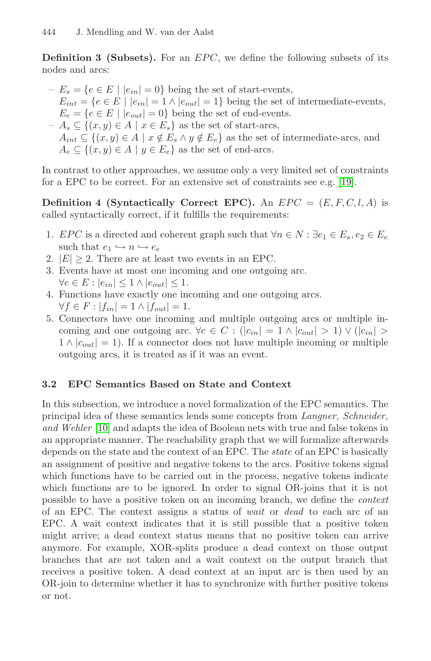<span id="page-5-0"></span>**Definition 3 (Subsets).** For an *EPC*, we define the following subsets of its nodes and arcs:

- $-E_s = \{e \in E \mid |e_{in}| = 0\}$  being the set of star[t-ev](#page-14-4)ents,  $E_{int} = \{e \in E \mid |e_{in}| = 1 \land |e_{out}| = 1\}$  being the set of intermediate-events,  $E_e = \{e \in E \mid |e_{out}| = 0\}$  being the set of end-events.
- $A_s \subseteq \{(x, y) \in A \mid x \in E_s\}$  as the set of start-arcs,  $A_{int} \subseteq \{(x, y) \in A \mid x \notin E_s \land y \notin E_e\}$  as the set of intermediate-arcs, and  $A_e \subseteq \{(x, y) \in A \mid y \in E_e\}$  as the set of end-arcs.

In contrast to other approaches, we assume only a very limited set of constraints for a EPC to be correct. For an extensive set of constraints see e.g. [19].

**Definition 4 (Syntactically Correct EPC).** An  $EPC = (E, F, C, l, A)$  is called syntactically correct, if it fulfills the requirements:

- 1. EPC is a directed and coherent graph such that  $\forall n \in N : \exists e_1 \in E_s, e_2 \in E_e$ such that  $e_1 \hookrightarrow n \hookrightarrow e_e$
- 2.  $|E| \geq 2$ . There are at least two events in an EPC.
- 3. Events have at most one incoming and one outgoing arc.  $\forall e \in E : |e_{in}| \leq 1 \wedge |e_{out}| \leq 1.$
- 4. Functions have exactly one incoming and one outgoing arcs.  $\forall f \in F : |f_{in}| = 1 \land |f_{out}| = 1.$
- 5. Connectors have one incoming and multiple outgoing arcs or multiple incoming and one outgoing arc.  $\forall c \in C : (|c_{in}| = 1 \land |c_{out}| > 1) \lor (|c_{in}| >$  $1 \wedge |c_{out}| = 1$ ). If a connector does not have multiple incoming or multiple outgoing arcs, it is treated as if it was an event.

#### **3.2 EPC Semantics Based on State and Context**

In this subsection, we introduce a novel formalization of the EPC semantics. The principal idea of these semantics lends some concepts from Langner, Schneider, and Wehler [10] and adapts the idea of Boolean nets with true and false tokens in an appropriate manner. The reachability graph that we will formalize afterwards depends on the state and the context of an EPC. The state of an EPC is basically an assignment of positive and negative tokens to the arcs. Positive tokens signal which functions have to be carried out in the process, negative tokens indicate which functions are to be ignored. In order to signal OR-joins that it is not possible to have a positive token on an incoming branch, we define the context of an EPC. The context assigns a status of wait or dead to each arc of an EPC. A wait context indicates that it is still possible that a positive token might arrive; a dead context status means that no positive token can arrive anymore. For example, XOR-splits produce a dead context on those output branches that are not taken and a wait context on the output branch that receives a positive token. A dead context at an input arc is then used by an OR-join to determine whether it has to synchronize with further positive tokens or not.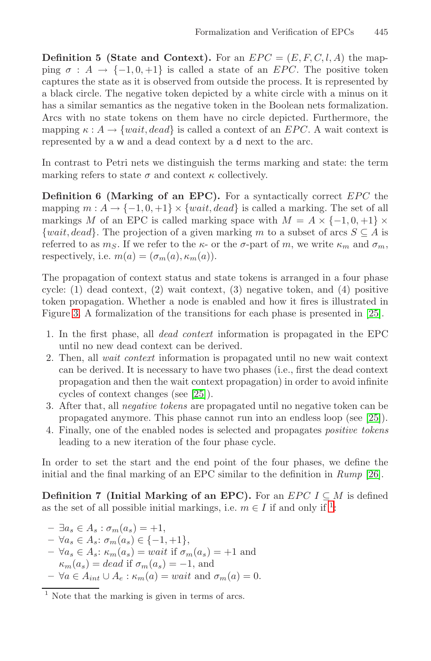**Definition 5 (State and Context).** For an  $EPC = (E, F, C, l, A)$  the mapping  $\sigma : A \to \{-1, 0, +1\}$  is called a state of an *EPC*. The positive token captures the state as it is observed from outside the process. It is represented by a black circle. The negative token depicted by a white circle with a minus on it has a similar semantics as the negative token in the Boolean nets formalization. Arcs with no state tokens on them have no circle depicted. Furthermore, the mapping  $\kappa : A \to \{wait, dead\}$  is called a context of an *EPC*. A wait context is represented by a w and a dead context by a d next to the arc.

In contrast to Petri nets we distinguish the terms marking and state: the term marking refers to state  $\sigma$  and context  $\kappa$  collectively.

**Definition 6 (Marking of an EPC).** For a syntactically correct EPC the mapping  $m : A \to \{-1, 0, +1\} \times \{wait, dead\}$  is called a marking. The set of all markings [M](#page-14-7) of an EPC is called marking space with  $M = A \times \{-1, 0, +1\} \times$  $\{wait, dead\}$ . The projection of a given marking m to a subset of arcs  $S \subseteq A$  is referred to as m<sub>S</sub>. If we refer to the  $\kappa$ - or the  $\sigma$ -part of m, we write  $\kappa_m$  and  $\sigma_m$ , respectively, i.e.  $m(a)=(\sigma_m(a), \kappa_m(a)).$ 

The propagation of context status and state tokens is arranged in a four phase cycle:  $(1)$  dead context,  $(2)$  wait context,  $(3)$  negative token, and  $(4)$  positive token propagat[ion.](#page-14-7) Whether a node is enabled and how it fires is illustrated in Figure 3. A formalization of the transitions for each phase is presented in [25].

- 1. In the first phase, all dead context information is [pro](#page-14-7)pagated in the EPC until no new dead context can be derived.
- 2. Then, all wait context information is propagated until no new wait context can be derived. It is necessary to have two phases (i.e., first the dead context propagation and then the wait context propagation) [in o](#page-14-8)rder to avoid infinite cycles of context changes (see [25]).
- 3. After that, all negative tokens are propagated until no negative token can be propagated anymore. This phase cannot r[un](#page-6-0) into an endless loop (see [25]).
- 4. Finally, one of the enabled nodes is selected and propagates positive tokens leading to a new iteration of the four phase cycle.

In order to set the start and the end point of the four phases, we define the initial and the final marking of an EPC similar to the definition in Rump [26].

<span id="page-6-0"></span>**Definition 7 (Initial Marking of an EPC).** For an  $EPC I \subseteq M$  is defined as the set of all possible initial markings, i.e.  $m \in I$  if and only if <sup>1</sup>:

- $\exists a_s \in A_s : \sigma_m(a_s) = +1,$
- **–** ∀a<sup>s</sup> ∈ As: σm(as) ∈ {−1, +1},
- $-\forall a_s \in A_s$ :  $\kappa_m(a_s) = wait$  if  $\sigma_m(a_s) = +1$  and
- $\kappa_m(a_s) = dead$  if  $\sigma_m(a_s) = -1$ , and
- $-$  ∀a ∈ A<sub>int</sub> ∪ A<sub>e</sub> : κ<sub>m</sub>(a) = wait and  $\sigma_m(a) = 0$ .

 $1$  Note that the marking is given in terms of arcs.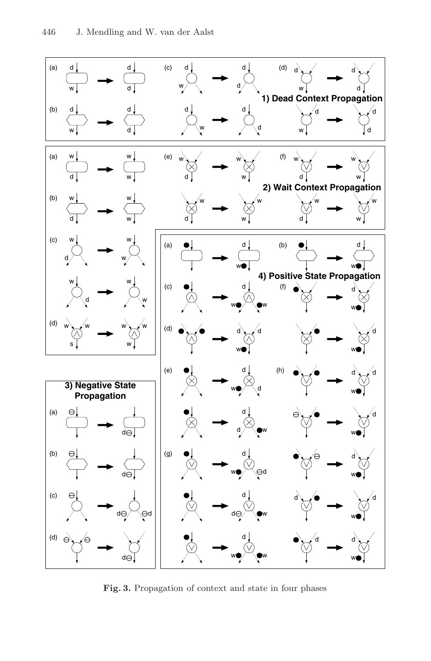

**Fig. 3.** Propagation of context and state in four phases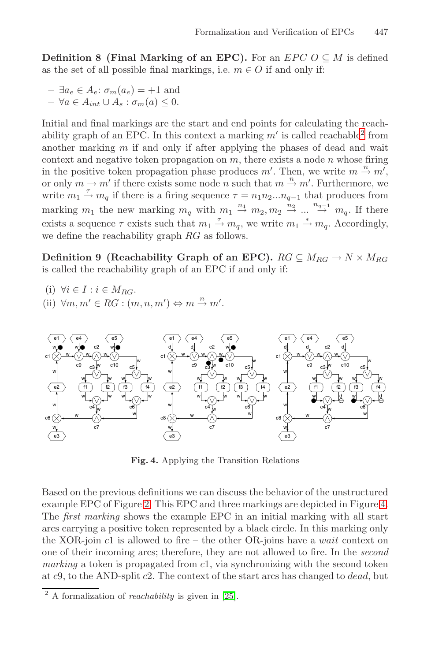**Definition 8 (Final Marking of an EPC).** For an  $EPC O \subseteq M$  is defined as the set of all possible final markings, i.e.  $m \in O$  if and only if:

$$
- \exists a_e \in A_e : \sigma_m(a_e) = +1 \text{ and}
$$
  

$$
- \forall a \in A_{int} \cup A_s : \sigma_m(a) \leq 0.
$$

Initial and final markings are the start and end points for calculating the reachability graph of an EPC. In this context a marking  $m'$  is called reachable<sup>2</sup> from another marking m if and only if after applying the phases of dead and wait context and negative token propagation on  $m$ , there exists a node  $n$  whose firing in the positive token propagation phase produces m'. Then, we write  $m \stackrel{n}{\rightarrow} m'$ , or only  $m \to m'$  if there exists some node n such that  $m \to m'$ . Furthermore, we write  $m_1 \stackrel{\tau}{\rightarrow} m_q$  if there is a firing sequence  $\tau = n_1 n_2 ... n_{q-1}$  that produces from marking  $m_1$  the new marking  $m_q$  with  $m_1 \stackrel{n_1}{\rightarrow} m_2, m_2 \stackrel{n_2}{\rightarrow} ... \stackrel{n_{q-1}}{\rightarrow} m_q$ . If there exists a sequence  $\tau$  exists such that  $m_1 \stackrel{\tau}{\rightarrow} m_q$ , we write  $m_1 \stackrel{*}{\rightarrow} m_q$ . Accordingly, we define the reachability graph RG as follows.

**Definition 9 (Reachability Graph of an EPC).**  $RG \subseteq M_{RG} \rightarrow N \times M_{RG}$ is called the reachability graph of an EPC if and only if:

- (i)  $\forall i \in I : i \in M_{RG}$ .
- (ii)  $\forall m, m' \in RG : (m, n, m') \Leftrightarrow m \stackrel{n}{\rightarrow} m'.$



**Fig. 4.** Applying the Transition Relations

Based on the previous definitions we can discuss the behavior of the unstructured example EPC of Figur[e 2.](#page-14-7) This EPC and three markings are depicted in Figure 4. The first marking shows the example EPC in an initial marking with all start arcs carrying a positive token represented by a black circle. In this marking only the XOR-join  $c_1$  is allowed to fire – the other OR-joins have a *wait* context on one of their incoming arcs; therefore, they are not allowed to fire. In the second  $marking$  a token is propagated from  $c1$ , via synchronizing with the second token at c9, to the AND-split c2. The context of the start arcs has changed to dead, but

 $^{2}$  A formalization of *reachability* is given in [25].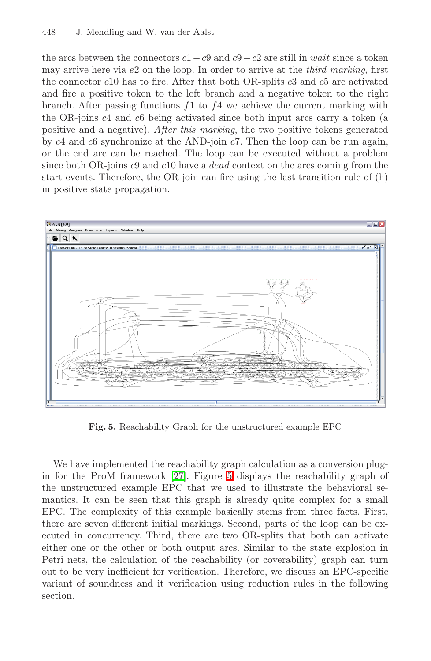#### 448 J. Mendling and W. van der Aalst

the arcs between the connectors  $c1-c9$  and  $c9-c2$  are still in *wait* since a token may arrive here via  $e^2$  on the loop. In order to arrive at the *third marking*, first the connector  $c10$  has to fire. After that both OR-splits  $c3$  and  $c5$  are activated and fire a positive token to the left branch and a negative token to the right branch. After passing functions  $f_1$  to  $f_4$  we achieve the current marking with the OR-joins c4 and c6 being activated since both input arcs carry a token (a positive and a negative). After this marking, the two positive tokens generated by  $c4$  and  $c6$  synchronize at the AND-join  $c7$ . Then the loop can be run again, or the end arc can be reached. The loop can be executed without a problem since both OR-joins c9 and c10 have a dead context on the arcs coming from the start events. Therefore, the OR-join can fire using the last transition rule of (h) in positive state propagation.



**Fig. 5.** Reachability Graph for the unstructured example EPC

We have implemented the reachability graph calculation as a conversion plugin for the ProM framework [27]. Figure 5 displays the reachability graph of the unstructured example EPC that we used to illustrate the behavioral semantics. It can be seen that this graph is already quite complex for a small EPC. The complexity of this example basically stems from three facts. First, there are seven different initial markings. Second, parts of the loop can be executed in concurrency. Third, there are two OR-splits that both can activate either one or the other or both output arcs. Similar to the state explosion in Petri nets, the calculation of the reachability (or coverability) graph can turn out to be very inefficient for verification. Therefore, we discuss an EPC-specific variant of soundness and it verification using reduction rules in the following section.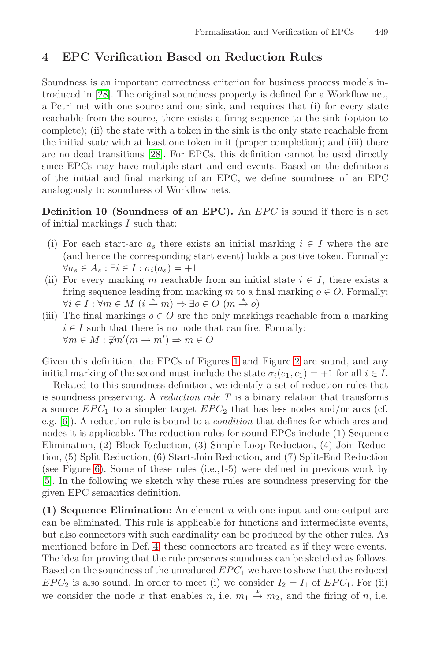# <span id="page-10-0"></span>**4 [EP](#page-14-9)C Verification Based on Reduction Rules**

Soundness is an important correctness criterion for business process models introduced in [28]. The original soundness property is defined for a Workflow net, a Petri net with one source and one sink, and requires that (i) for every state reachable from the source, there exists a firing sequence to the sink (option to complete); (ii) the state with a token in the sink is the only state reachable from the initial state with at least one token in it (proper completion); and (iii) there are no dead transitions [28]. For EPCs, this definition cannot be used directly since EPCs may have multiple start and end events. Based on the definitions of the initial and final marking of an EPC, we define soundness of an EPC analogously to soundness of Workflow nets.

**Definition 10 (Soundness of an EPC).** An *EPC* is sound if there is a set of initial markings  $I$  such that:

- (i) For each start-arc  $a_s$  there exists an initial marking  $i \in I$  where the arc (and hence the corresponding start event) holds a positive token. Formally:  $\forall a_s \in A_s : \exists i \in I : \sigma_i(a_s) = +1$  $\forall a_s \in A_s : \exists i \in I : \sigma_i(a_s) = +1$  $\forall a_s \in A_s : \exists i \in I : \sigma_i(a_s) = +1$
- (ii) For every marking m reachable from an initial state  $i \in I$ , there exists a firing sequence leading from marking m to a final marking  $o \in O$ . Formally:  $\forall i \in I : \forall m \in M \ (i \stackrel{*}{\rightarrow} m) \Rightarrow \exists o \in O \ (m \stackrel{*}{\rightarrow} o)$
- (iii) The final markings  $o \in O$  are the only markings reachable from a marking  $i \in I$  such that there is no node that can fire. Formally:  $\forall m \in M : \nexists m'(m \rightarrow m') \Rightarrow m \in O$

Given this definition, the EPCs of Figures 1 and Figure 2 are sound, and any initial marking of the second must include the state  $\sigma_i(e_1, c_1) = +1$  for all  $i \in I$ .

Related to this soundness definition, we identify a set of reduction rules that is soundness preserving. A reduction rule  $T$  is a binary relation that transforms a source  $EPC_1$  to a simpler target  $EPC_2$  that has less nodes and/or arcs (cf. e.g. [6]). A reduction rule is bound to a condition that defines for which arcs and nodes it is applicable. The reduction rules for sound EPCs include (1) Sequence Elimination, (2) Block Reduction, (3) Simple Loop Reduction, (4) Join Reduction, ([5\)](#page-5-0) Split Reduction, (6) Start-Join Reduction, and (7) Split-End Reduction (see Figure 6). Some of these rules (i.e.,1-5) were defined in previous work by [5]. In the following we sketch why these rules are soundness preserving for the given EPC semantics definition.

**(1) Sequence Elimination:** An element n with one input and one output arc can be eliminated. This rule is applicable for functions and intermediate events, but also connectors with such cardinality can be produced by the other rules. As mentioned before in Def. 4, these connectors are treated as if they were events. The idea for proving that the rule preserves soundness can be sketched as follows. Based on the soundness of the unreduced  $EPC<sub>1</sub>$  we have to show that the reduced  $EPC_2$  is also sound. In order to meet (i) we consider  $I_2 = I_1$  of  $EPC_1$ . For (ii) we consider the node x that enables n, i.e.  $m_1 \stackrel{x}{\rightarrow} m_2$ , and the firing of n, i.e.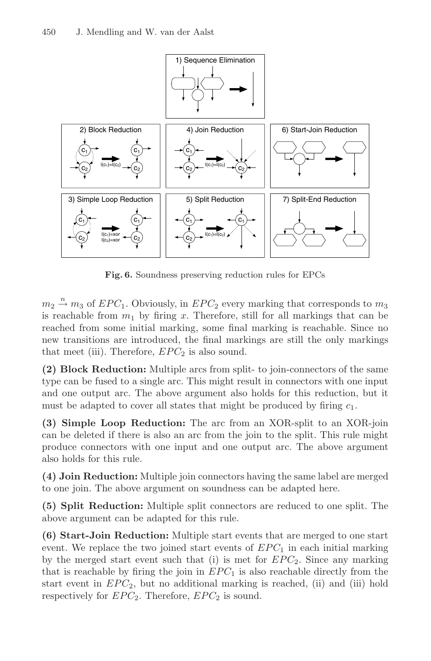

**Fig. 6.** Soundness preserving reduction rules for EPCs

 $m_2 \stackrel{n}{\rightarrow} m_3$  of  $EPC_1$ . Obviously, in  $EPC_2$  every marking that corresponds to  $m_3$ is reachable from  $m_1$  by firing x. Therefore, still for all markings that can be reached from some initial marking, some final marking is reachable. Since no new transitions are introduced, the final markings are still the only markings that meet (iii). Therefore,  $EPC_2$  is also sound.

**(2) Block Reduction:** Multiple arcs from split- to join-connectors of the same type can be fused to a single arc. This might result in connectors with one input and one output arc. The above argument also holds for this reduction, but it must be adapted to cover all states that might be produced by firing  $c_1$ .

**(3) Simple Loop Reduction:** The arc from an XOR-split to an XOR-join can be deleted if there is also an arc from the join to the split. This rule might produce connectors with one input and one output arc. The above argument also holds for this rule.

**(4) Join Reduction:** Multiple join connectors having the same label are merged to one join. The above argument on soundness can be adapted here.

**(5) Split Reduction:** Multiple split connectors are reduced to one split. The above argument can be adapted for this rule.

**(6) Start-Join Reduction:** Multiple start events that are merged to one start event. We replace the two joined start events of  $EPC<sub>1</sub>$  in each initial marking by the merged start event such that (i) is met for  $EPC_2$ . Since any marking that is reachable by firing the join in  $EPC<sub>1</sub>$  is also reachable directly from the start event in  $EPC_2$ , but no additional marking is reached, (ii) and (iii) hold respectively for  $EPC_2$ . Therefore,  $EPC_2$  is sound.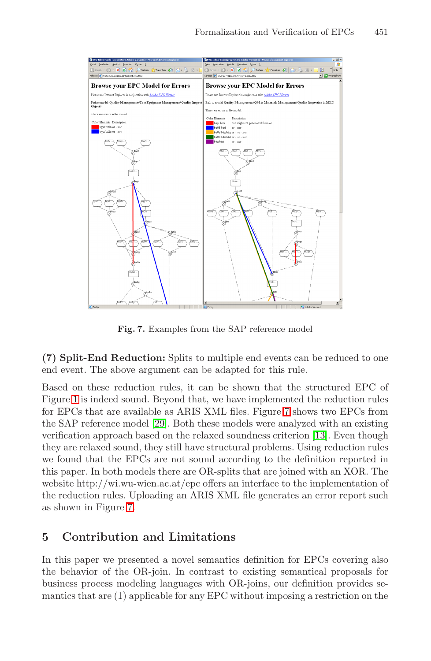

**Fig. 7.** Examples from the SAP reference model

<span id="page-12-1"></span>**(7) Split-End Reduction:** Splits to multiple end events can be reduced to one end event. The above argument can be adapted for this rule.

<span id="page-12-0"></span>Based on these reduction rules, it can be shown that the structured EPC of Figure 1 is indeed sound. Beyond that, we have implemented the reduction rules [for](#page-12-1) EPCs that are available as ARIS XML files. Figure 7 shows two EPCs from the SAP reference model [29]. Both these models were analyzed with an existing verification approach based on the relaxed soundness criterion [13]. Even though they are relaxed sound, they still have structural problems. Using reduction rules we found that the EPCs are not sound according to the definition reported in this paper. In both models there are OR-splits that are joined with an XOR. The website http://wi.wu-wien.ac.at/epc offers an interface to the implementation of the reduction rules. Uploading an ARIS XML file generates an error report such as shown in Figure 7.

# **5 Contribution and Limitations**

In this paper we presented a novel semantics definition for EPCs covering also the behavior of the OR-join. In contrast to existing semantical proposals for business process modeling languages with OR-joins, our definition provides semantics that are (1) applicable for any EPC without imposing a restriction on the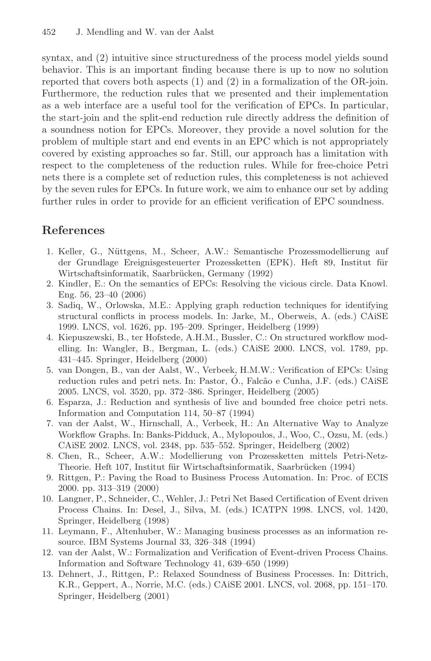syntax, and (2) intuitive since structuredness of the process model yields sound behavior. This is an important finding because there is up to now no solution reported that covers both aspects (1) and (2) in a formalization of the OR-join. Furthermore, the reduction rules that we presented and their implementation as a web interface are a useful tool for the verification of EPCs. In particular, the start-join and the split-end reduction rule directly address the definition of a soundness notion for EPCs. Moreover, they provide a novel solution for the problem of multiple start and end events in an EPC which is not appropriately covered by existing approaches so far. Still, our approach has a limitation with respect to the completeness of the reduction rules. While for free-choice Petri nets there is a complete set of reduction rules, this completeness is not achieved by the seven rules for EPCs. In future work, we aim to enhance our set by adding further rules in order to provide for an efficient verification of EPC soundness.

# **References**

- 1. Keller, G., N¨uttgens, M., Scheer, A.W.: Semantische Prozessmodellierung auf der Grundlage Ereignisgesteuerter Prozessketten (EPK). Heft 89, Institut für Wirtschaftsinformatik, Saarbrücken, Germany (1992)
- <span id="page-13-11"></span>2. Kindler, E.: On the semantics of EPCs: Resolving the vicious circle. Data Knowl. Eng. 56, 23–40 (2006)
- <span id="page-13-0"></span>3. Sadiq, W., Orlowska, M.E.: Applying graph reduction techniques for identifying structural conflicts in process models. In: Jarke, M., Oberweis, A. (eds.) CAiSE 1999. LNCS, vol. 1626, pp. 195–209. Springer, Heidelberg (1999)
- <span id="page-13-1"></span>4. Kiepuszewski, B., ter Hofstede, A.H.M., Bussler, C.: On structured workflow modelling. In: Wangler, B., Bergman, L. (eds.) CAiSE 2000. LNCS, vol. 1789, pp. 431–445. Springer, Heidelberg (2000)
- <span id="page-13-2"></span>5. van Dongen, B., van der Aalst, W., Verbeek, H.M.W.: Verification of EPCs: Using reduction rules and petri nets. In: Pastor, Ó., Falcão e Cunha, J.F. (eds.) CAiSE 2005. LNCS, vol. 3520, pp. 372–386. Springer, Heidelberg (2005)
- <span id="page-13-3"></span>6. Esparza, J.: Reduction and synthesis of live and bounded free choice petri nets. Information and Computation 114, 50–87 (1994)
- <span id="page-13-4"></span>7. van der Aalst, W., Hirnschall, A., Verbeek, H.: An Alternative Way to Analyze Workflow Graphs. In: Banks-Pidduck, A., Mylopoulos, J., Woo, C., Ozsu, M. (eds.) CAiSE 2002. LNCS, vol. 2348, pp. 535–552. Springer, Heidelberg (2002)
- <span id="page-13-5"></span>8. Chen, R., Scheer, A.W.: Modellierung von Prozessketten mittels Petri-Netz-Theorie. Heft 107, Institut für Wirtschaftsinformatik, Saarbrücken (1994)
- <span id="page-13-6"></span>9. Rittgen, P.: Paving the Road to Business Process Automation. In: Proc. of ECIS 2000. pp. 313–319 (2000)
- <span id="page-13-7"></span>10. Langner, P., Schneider, C., Wehler, J.: Petri Net Based Certification of Event driven Process Chains. In: Desel, J., Silva, M. (eds.) ICATPN 1998. LNCS, vol. 1420, Springer, Heidelberg (1998)
- <span id="page-13-8"></span>11. Leymann, F., Altenhuber, W.: Managing business processes as an information resource. IBM Systems Journal 33, 326–348 (1994)
- <span id="page-13-9"></span>12. van der Aalst, W.: Formalization and Verification of Event-driven Process Chains. Information and Software Technology 41, 639–650 (1999)
- <span id="page-13-10"></span>13. Dehnert, J., Rittgen, P.: Relaxed Soundness of Business Processes. In: Dittrich, K.R., Geppert, A., Norrie, M.C. (eds.) CAiSE 2001. LNCS, vol. 2068, pp. 151–170. Springer, Heidelberg (2001)